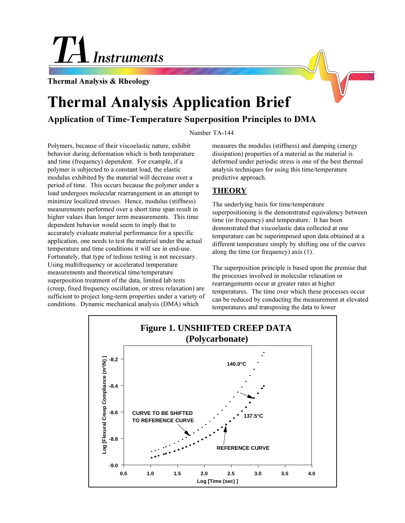# Instruments

**Thermal Analysis & Rheology**

## **Thermal Analysis Application Brief**

### **Application of Time-Temperature Superposition Principles to DMA**

#### Number TA-144

Polymers, because of their viscoelastic nature, exhibit behavior during deformation which is both temperature and time (frequency) dependent. For example, if a polymer is subjected to a constant load, the elastic modulus exhibited by the material will decrease over a period of time. This occurs because the polymer under a load undergoes molecular rearrangement in an attempt to minimize localized stresses. Hence, modulus (stiffness) measurements performed over a short time span result in higher values than longer term measurements. This time dependent behavior would seem to imply that to accurately evaluate material performance for a specific application, one needs to test the material under the actual temperature and time conditions it will see in end-use. Fortunately, that type of tedious testing is not necessary. Using multifrequency or accelerated temperature measurements and theoretical time/temperature superposition treatment of the data, limited lab tests (creep, fixed frequency oscillation, or stress relaxation) are sufficient to project long-term properties under a variety of conditions. Dynamic mechanical analysis (DMA) which

measures the modulus (stiffness) and damping (energy dissipation) properties of a material as the material is deformed under periodic stress is one of the best thermal analysis techniques for using this time/temperature predictive approach.

#### **THEORY**

The underlying basis for time/temperature superpositioning is the demonstrated equivalency between time (or frequency) and temperature. It has been demonstrated that viscoelastic data collected at one temperature can be superimposed upon data obtained at a different temperature simply by shifting one of the curves along the time (or frequency) axis (1).

The superposition principle is based upon the premise that the processes involved in molecular relaxation or rearrangements occur at greater rates at higher temperatures. The time over which these processes occur can be reduced by conducting the measurement at elevated temperatures and transposing the data to lower

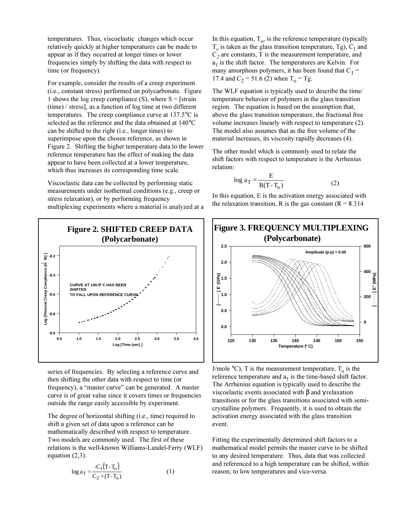temperatures. Thus, viscoelastic changes which occur relatively quickly at higher temperatures can be made to appear as if they occurred at longer times or lower frequencies simply by shifting the data with respect to time (or frequency).

For example, consider the results of a creep experiment (i.e., constant stress) performed on polycarbonate. Figure 1 shows the log creep compliance (S), where  $S = [strain]$ (time) / stress], as a function of log time at two different temperatures. The creep compliance curve at 137.5°C is selected as the reference and the data obtained at 140°C can be shifted to the right (i.e., longer times) to superimpose upon the chosen reference, as shown in Figure 2. Shifting the higher temperature data to the lower reference temperature has the effect of making the data appear to have been collected at a lower temperature, which thus increases its corresponding time scale.

Viscoelastic data can be collected by performing static measurements under isothermal conditions (e.g., creep or stress relaxation), or by performing frequency multiplexing experiments where a material is analyzed at a



series of frequencies. By selecting a reference curve and then shifting the other data with respect to time (or frequency), a "master curve" can be generated. A master curve is of great value since it covers times or frequencies outside the range easily accessible by experiment.

The degree of horizontal shifting (i.e., time) required to shift a given set of data upon a reference can be mathematically described with respect to temperature. Two models are commonly used. The first of these relations is the well-known Williams-Landel-Ferry (WLF) equation (2,3):

$$
\log a_{\rm T} = \frac{C_1 (T - T_0)}{C_2 + (T - T_0)}
$$
 (1)

In this equation,  $T<sub>o</sub>$ , is the reference temperature (typically  $T<sub>o</sub>$  is taken as the glass transition temperature, Tg), C<sub>1</sub> and  $\overline{C}_2$  are constants, T is the measurement temperature, and  $a_T$  is the shift factor. The temperatures are Kelvin. For many amorphous polymers, it has been found that  $C_1$  = 17.4 and C<sub>2</sub> = 51.6 (2) when T<sub>0</sub> = Tg.

The WLF equation is typically used to describe the time/ temperature behavior of polymers in the glass transition region. The equation is based on the assumption that, above the glass transition temperature, the fractional free volume increases linearly with respect to temperature (2). The model also assumes that as the free volume of the material increases, its viscosity rapidly decreases (4).

The other model which is commonly used to relate the shift factors with respect to temperature is the Arrhenius relation:

$$
\log a_{\rm T} = \frac{\rm E}{\rm R(T - T_0)}
$$
 (2)

In this equation, E is the activation energy associated with the relaxation transition, R is the gas constant ( $R = 8.314$ )



J/mole  $\rm{^{\circ}C}$ ), T is the measurement temperature, T<sub>o</sub> is the reference temperature and  $a_T$  is the time-based shift factor. The Arrhenius equation is typically used to describe the viscoelastic events associated with β and γ relaxation transitions or for the glass transitions associated with semicrystalline polymers. Frequently, it is used to obtain the activation energy associated with the glass transition event.

Fitting the experimentally determined shift factors to a mathematical model permits the master curve to be shifted to any desired temperature. Thus, data that was collected and referenced to a high temperature can be shifted, within reason, to low temperatures and vice-versa.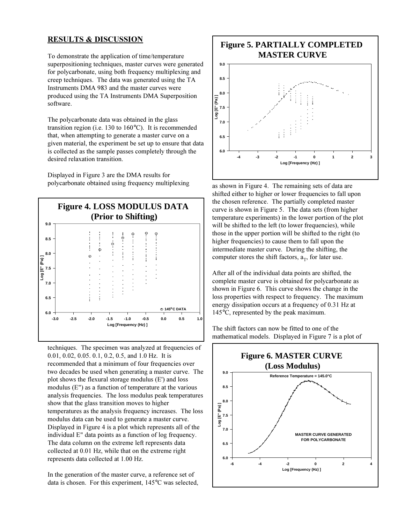#### **RESULTS & DISCUSSION**

To demonstrate the application of time/temperature superpositioning techniques, master curves were generated for polycarbonate, using both frequency multiplexing and creep techniques. The data was generated using the TA Instruments DMA 983 and the master curves were produced using the TA Instruments DMA Superposition software.

The polycarbonate data was obtained in the glass transition region (i.e. 130 to 160°C). It is recommended that, when attempting to generate a master curve on a given material, the experiment be set up to ensure that data is collected as the sample passes completely through the desired relaxation transition.

Displayed in Figure 3 are the DMA results for polycarbonate obtained using frequency multiplexing



techniques. The specimen was analyzed at frequencies of 0.01, 0.02, 0.05. 0.1, 0.2, 0.5, and 1.0 Hz. It is recommended that a minimum of four frequencies over two decades be used when generating a master curve. The plot shows the flexural storage modulus (E') and loss modulus (E") as a function of temperature at the various analysis frequencies. The loss modulus peak temperatures show that the glass transition moves to higher temperatures as the analysis frequency increases. The loss modulus data can be used to generate a master curve. Displayed in Figure 4 is a plot which represents all of the individual E" data points as a function of log frequency. The data column on the extreme left represents data collected at 0.01 Hz, while that on the extreme right represents data collected at 1.00 Hz.

In the generation of the master curve, a reference set of data is chosen. For this experiment, 145°C was selected,



as shown in Figure 4. The remaining sets of data are shifted either to higher or lower frequencies to fall upon the chosen reference. The partially completed master curve is shown in Figure 5. The data sets (from higher temperature experiments) in the lower portion of the plot will be shifted to the left (to lower frequencies), while those in the upper portion will be shifted to the right (to higher frequencies) to cause them to fall upon the intermediate master curve. During the shifting, the computer stores the shift factors,  $a_T$ , for later use.

After all of the individual data points are shifted, the complete master curve is obtained for polycarbonate as shown in Figure 6. This curve shows the change in the loss properties with respect to frequency. The maximum energy dissipation occurs at a frequency of 0.31 Hz at 145°C, represented by the peak maximum.

The shift factors can now be fitted to one of the mathematical models. Displayed in Figure 7 is a plot of

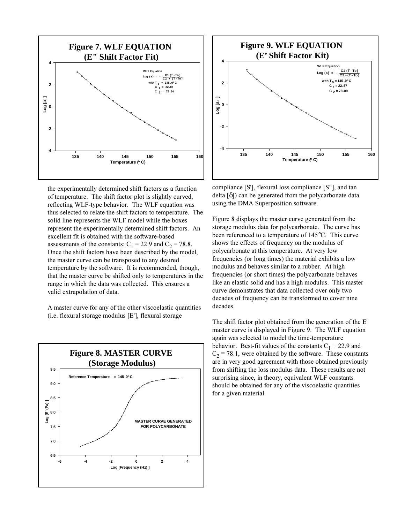

the experimentally determined shift factors as a function of temperature. The shift factor plot is slightly curved, reflecting WLF-type behavior. The WLF equation was thus selected to relate the shift factors to temperature. The solid line represents the WLF model while the boxes represent the experimentally determined shift factors. An excellent fit is obtained with the software-based assessments of the constants:  $C_1 = 22.9$  and  $C_2 = 78.8$ . Once the shift factors have been described by the model, the master curve can be transposed to any desired temperature by the software. It is recommended, though, that the master curve be shifted only to temperatures in the range in which the data was collected. This ensures a valid extrapolation of data.

A master curve for any of the other viscoelastic quantities (i.e. flexural storage modulus [E'], flexural storage





compliance [S'], flexural loss compliance [S"], and tan delta [δ]) can be generated from the polycarbonate data using the DMA Superposition software.

Figure 8 displays the master curve generated from the storage modulus data for polycarbonate. The curve has been referenced to a temperature of 145°C. This curve shows the effects of frequency on the modulus of polycarbonate at this temperature. At very low frequencies (or long times) the material exhibits a low modulus and behaves similar to a rubber. At high frequencies (or short times) the polycarbonate behaves like an elastic solid and has a high modulus. This master curve demonstrates that data collected over only two decades of frequency can be transformed to cover nine decades.

The shift factor plot obtained from the generation of the E' master curve is displayed in Figure 9. The WLF equation again was selected to model the time-temperature behavior. Best-fit values of the constants  $C_1 = 22.9$  and  $C_2$  = 78.1, were obtained by the software. These constants are in very good agreement with those obtained previously from shifting the loss modulus data. These results are not surprising since, in theory, equivalent WLF constants should be obtained for any of the viscoelastic quantities for a given material.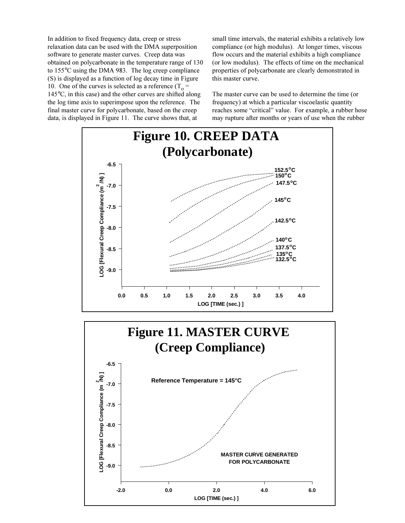In addition to fixed frequency data, creep or stress relaxation data can be used with the DMA superposition software to generate master curves. Creep data was obtained on polycarbonate in the temperature range of 130 to 155°C using the DMA 983. The log creep compliance (S) is displayed as a function of log decay time in Figure 10. One of the curves is selected as a reference  $(T_0 =$ 145°C, in this case) and the other curves are shifted along the log time axis to superimpose upon the reference. The final master curve for polycarbonate, based on the creep data, is displayed in Figure 11. The curve shows that, at

small time intervals, the material exhibits a relatively low compliance (or high modulus). At longer times, viscous flow occurs and the material exhibits a high compliance (or low modulus). The effects of time on the mechanical properties of polycarbonate are clearly demonstrated in this master curve.

The master curve can be used to determine the time (or frequency) at which a particular viscoelastic quantity reaches some "critical" value. For example, a rubber hose may rupture after months or years of use when the rubber